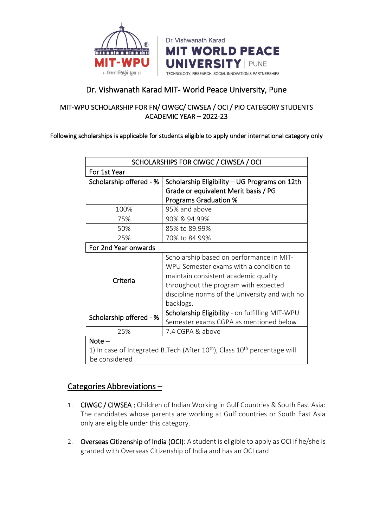



# Dr. Vishwanath Karad MIT- World Peace University, Pune

### MIT-WPU SCHOLARSHIP FOR FN/ CIWGC/ CIWSEA / OCI / PIO CATEGORY STUDENTS ACADEMIC YEAR – 2022-23

Following scholarships is applicable for students eligible to apply under international category only

| SCHOLARSHIPS FOR CIWGC / CIWSEA / OCI                                                |                                                 |
|--------------------------------------------------------------------------------------|-------------------------------------------------|
| For 1st Year                                                                         |                                                 |
| Scholarship offered - %                                                              | Scholarship Eligibility – UG Programs on 12th   |
|                                                                                      | Grade or equivalent Merit basis / PG            |
|                                                                                      | <b>Programs Graduation %</b>                    |
| 100%                                                                                 | 95% and above                                   |
| 75%                                                                                  | 90% & 94.99%                                    |
| 50%                                                                                  | 85% to 89.99%                                   |
| 25%                                                                                  | 70% to 84.99%                                   |
| For 2nd Year onwards                                                                 |                                                 |
| Criteria                                                                             | Scholarship based on performance in MIT-        |
|                                                                                      | WPU Semester exams with a condition to          |
|                                                                                      | maintain consistent academic quality            |
|                                                                                      | throughout the program with expected            |
|                                                                                      | discipline norms of the University and with no  |
|                                                                                      | backlogs.                                       |
| Scholarship offered - %                                                              | Scholarship Eligibility - on fulfilling MIT-WPU |
|                                                                                      | Semester exams CGPA as mentioned below          |
| 25%                                                                                  | 7.4 CGPA & above                                |
| $Note -$                                                                             |                                                 |
| 1) In case of Integrated B. Tech (After $10^{th}$ ), Class $10^{th}$ percentage will |                                                 |
| be considered                                                                        |                                                 |

## Categories Abbreviations –

- 1. CIWGC / CIWSEA : Children of Indian Working in Gulf Countries & South East Asia: The candidates whose parents are working at Gulf countries or South East Asia only are eligible under this category.
- 2. Overseas Citizenship of India (OCI): A student is eligible to apply as OCI if he/she is granted with Overseas Citizenship of India and has an OCI card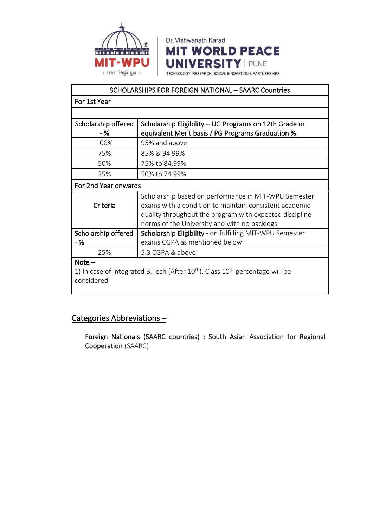

For 1st Year Scholarship offered - % Scholarship Eligibility – UG Programs on 12th Grade or equivalent Merit basis / PG Programs Graduation % 100% 95% and above 75% 85% & 94.99% 50% 75% to 84.99% 25% 50% to 74.99% For 2nd Year onwards Criteria Scholarship based on performance in MIT-WPU Semester exams with a condition to maintain consistent academic quality throughout the program with expected discipline norms of the University and with no backlogs. Scholarship offered - % Scholarship Eligibility - on fulfilling MIT-WPU Semester exams CGPA as mentioned below 25% 5.3 CGPA & above

SCHOLARSHIPS FOR FOREIGN NATIONAL – SAARC Countries

Dr. Vishwanath Karad

**MIT WORLD PEACE** 

TECHNOLOGY, RESEARCH, SOCIAL INNOVATION & PARTNERSHIPS

**UNIVERSITY PUNE** 

#### Note –

1) In case of Integrated B.Tech (After  $10^{th}$ ), Class  $10^{th}$  percentage will be considered

### Categories Abbreviations –

Foreign Nationals (SAARC countries) : South Asian Association for Regional Cooperation (SAARC)